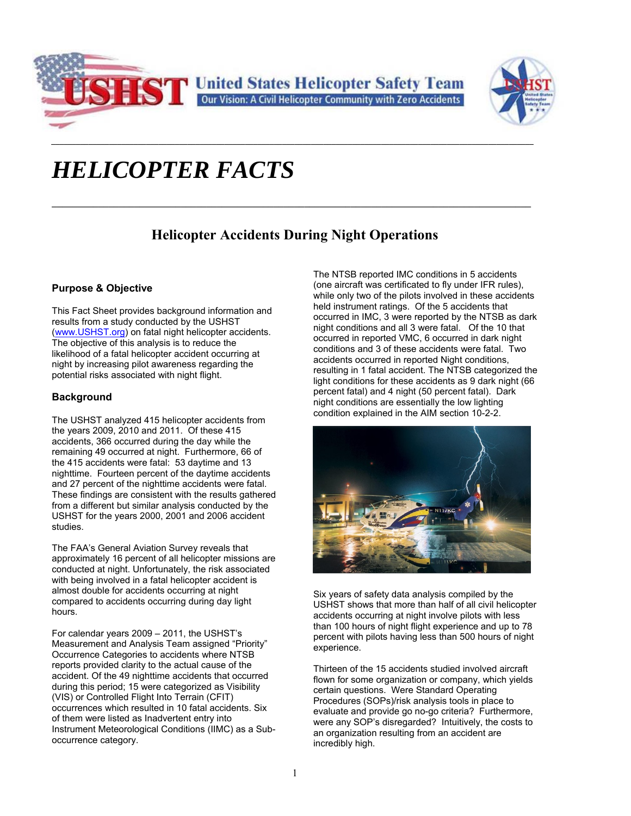



# *HELICOPTER FACTS*

# **Helicopter Accidents During Night Operations**

**\_\_\_\_\_\_\_\_\_\_\_\_\_\_\_\_\_\_\_\_\_\_\_\_\_\_\_\_\_\_\_\_\_\_\_\_\_\_\_\_\_\_\_\_\_\_\_\_\_\_\_\_\_\_\_\_\_\_\_\_\_\_\_\_\_\_\_\_\_\_\_\_\_\_\_\_\_\_\_\_\_\_\_\_\_\_\_\_\_\_\_\_\_**

*\_\_\_\_\_\_\_\_\_\_\_\_\_\_\_\_\_\_\_\_\_\_\_\_\_\_\_\_\_\_\_\_\_\_\_\_\_\_\_\_\_\_\_\_\_\_\_\_\_\_\_\_\_\_\_\_\_\_\_\_\_\_\_\_\_\_\_\_\_\_\_\_\_\_\_\_\_\_\_\_\_\_\_\_\_\_\_\_\_\_\_\_\_\_\_\_\_\_\_\_\_\_\_\_\_\_\_\_\_\_\_\_\_\_\_\_\_* 

# **Purpose & Objective**

This Fact Sheet provides background information and results from a study conducted by the USHST (www.USHST.org) on fatal night helicopter accidents. The objective of this analysis is to reduce the likelihood of a fatal helicopter accident occurring at night by increasing pilot awareness regarding the potential risks associated with night flight.

# **Background**

The USHST analyzed 415 helicopter accidents from the years 2009, 2010 and 2011. Of these 415 accidents, 366 occurred during the day while the remaining 49 occurred at night. Furthermore, 66 of the 415 accidents were fatal: 53 daytime and 13 nighttime. Fourteen percent of the daytime accidents and 27 percent of the nighttime accidents were fatal. These findings are consistent with the results gathered from a different but similar analysis conducted by the USHST for the years 2000, 2001 and 2006 accident studies.

The FAA's General Aviation Survey reveals that approximately 16 percent of all helicopter missions are conducted at night. Unfortunately, the risk associated with being involved in a fatal helicopter accident is almost double for accidents occurring at night compared to accidents occurring during day light hours.

For calendar years 2009 – 2011, the USHST's Measurement and Analysis Team assigned "Priority" Occurrence Categories to accidents where NTSB reports provided clarity to the actual cause of the accident. Of the 49 nighttime accidents that occurred during this period; 15 were categorized as Visibility (VIS) or Controlled Flight Into Terrain (CFIT) occurrences which resulted in 10 fatal accidents. Six of them were listed as Inadvertent entry into Instrument Meteorological Conditions (IIMC) as a Suboccurrence category.

The NTSB reported IMC conditions in 5 accidents (one aircraft was certificated to fly under IFR rules), while only two of the pilots involved in these accidents held instrument ratings. Of the 5 accidents that occurred in IMC, 3 were reported by the NTSB as dark night conditions and all 3 were fatal. Of the 10 that occurred in reported VMC, 6 occurred in dark night conditions and 3 of these accidents were fatal. Two accidents occurred in reported Night conditions, resulting in 1 fatal accident. The NTSB categorized the light conditions for these accidents as 9 dark night (66 percent fatal) and 4 night (50 percent fatal). Dark night conditions are essentially the low lighting condition explained in the AIM section 10-2-2.



Six years of safety data analysis compiled by the USHST shows that more than half of all civil helicopter accidents occurring at night involve pilots with less than 100 hours of night flight experience and up to 78 percent with pilots having less than 500 hours of night experience.

Thirteen of the 15 accidents studied involved aircraft flown for some organization or company, which yields certain questions. Were Standard Operating Procedures (SOPs)/risk analysis tools in place to evaluate and provide go no-go criteria? Furthermore, were any SOP's disregarded? Intuitively, the costs to an organization resulting from an accident are incredibly high.